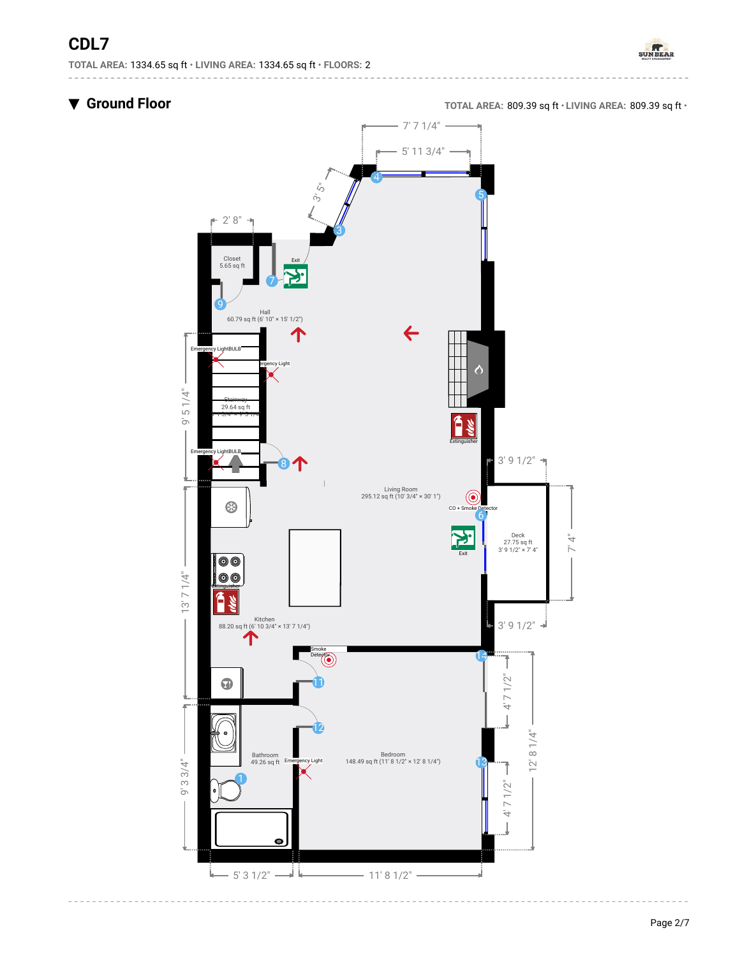

▼ **Ground Floor TOTAL AREA:** 809.39 sq ft • **LIVING AREA:** 809.39 sq ft •